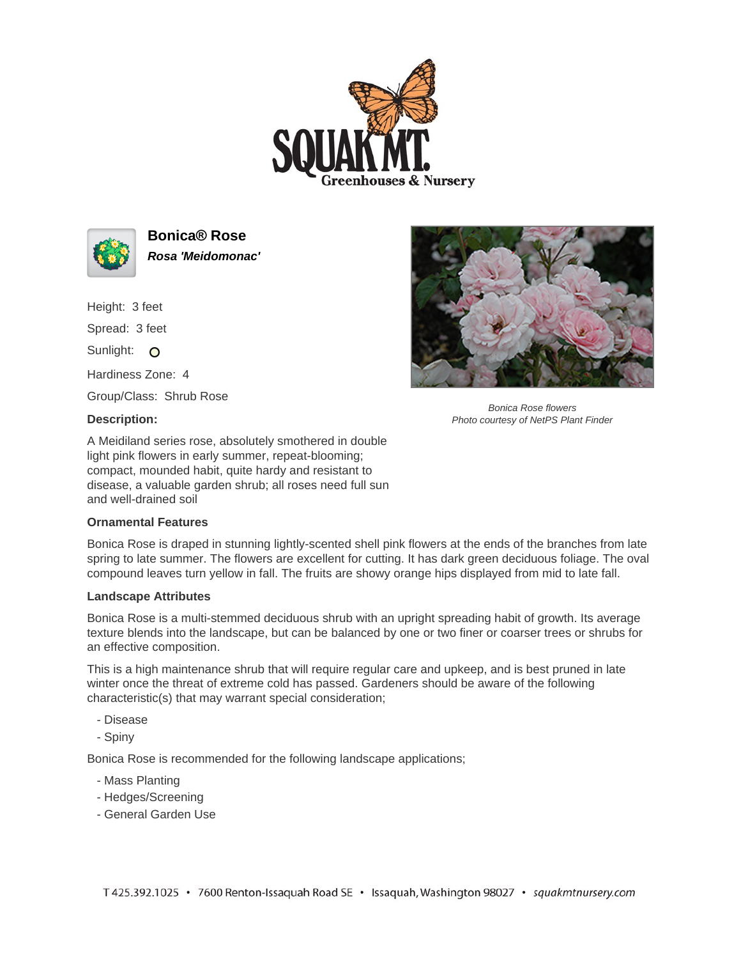



**Bonica® Rose Rosa 'Meidomonac'**

Height: 3 feet Spread: 3 feet

Sunlight: O

Hardiness Zone: 4

Group/Class: Shrub Rose

## **Description:**

A Meidiland series rose, absolutely smothered in double light pink flowers in early summer, repeat-blooming; compact, mounded habit, quite hardy and resistant to disease, a valuable garden shrub; all roses need full sun and well-drained soil

## **Ornamental Features**

Bonica Rose is draped in stunning lightly-scented shell pink flowers at the ends of the branches from late spring to late summer. The flowers are excellent for cutting. It has dark green deciduous foliage. The oval compound leaves turn yellow in fall. The fruits are showy orange hips displayed from mid to late fall.

## **Landscape Attributes**

Bonica Rose is a multi-stemmed deciduous shrub with an upright spreading habit of growth. Its average texture blends into the landscape, but can be balanced by one or two finer or coarser trees or shrubs for an effective composition.

This is a high maintenance shrub that will require regular care and upkeep, and is best pruned in late winter once the threat of extreme cold has passed. Gardeners should be aware of the following characteristic(s) that may warrant special consideration;

- Disease
- Spiny

Bonica Rose is recommended for the following landscape applications;

- Mass Planting
- Hedges/Screening
- General Garden Use



Bonica Rose flowers Photo courtesy of NetPS Plant Finder